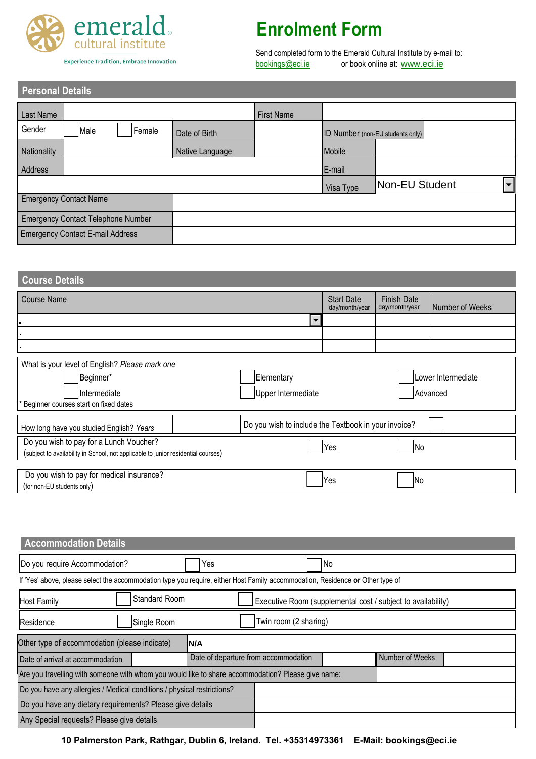

 **Personal Details**

**Experience Tradition, Embrace Innovation** 

## **Enrolment Form**

Send completed form to the Emerald Cultural Institute by e-mail to:<br>
<u>bookings@eci.ie</u> or book online at: www.eci.ie or book online at: [ww](http://www.eci.ie/IRL_feescalculator/)w.eci.ie

| I GISUNGI DUQINS                          |                                 |  |                 |                   |                                         |                |  |                          |
|-------------------------------------------|---------------------------------|--|-----------------|-------------------|-----------------------------------------|----------------|--|--------------------------|
| Last Name                                 |                                 |  |                 | <b>First Name</b> |                                         |                |  |                          |
| Gender                                    | Male<br>Female<br>Date of Birth |  |                 |                   | <b>ID Number</b> (non-EU students only) |                |  |                          |
| Nationality                               |                                 |  | Native Language |                   | Mobile                                  |                |  |                          |
| Address                                   |                                 |  |                 |                   | E-mail                                  |                |  |                          |
|                                           |                                 |  |                 |                   | Visa Type                               | Non-EU Student |  | $\overline{\phantom{0}}$ |
| <b>Emergency Contact Name</b>             |                                 |  |                 |                   |                                         |                |  |                          |
| <b>Emergency Contact Telephone Number</b> |                                 |  |                 |                   |                                         |                |  |                          |
| <b>Emergency Contact E-mail Address</b>   |                                 |  |                 |                   |                                         |                |  |                          |

|                                                                                                                                |                                                              |                                                                    | Visa Type         | Non-EU Student     |                 | $\blacktriangledown$ |  |
|--------------------------------------------------------------------------------------------------------------------------------|--------------------------------------------------------------|--------------------------------------------------------------------|-------------------|--------------------|-----------------|----------------------|--|
| <b>Emergency Contact Name</b>                                                                                                  |                                                              |                                                                    |                   |                    |                 |                      |  |
| <b>Emergency Contact Telephone Number</b>                                                                                      |                                                              |                                                                    |                   |                    |                 |                      |  |
| <b>Emergency Contact E-mail Address</b>                                                                                        |                                                              |                                                                    |                   |                    |                 |                      |  |
|                                                                                                                                |                                                              |                                                                    |                   |                    |                 |                      |  |
| <b>Course Details</b>                                                                                                          |                                                              |                                                                    |                   |                    |                 |                      |  |
| <b>Course Name</b>                                                                                                             |                                                              |                                                                    | <b>Start Date</b> | <b>Finish Date</b> |                 |                      |  |
|                                                                                                                                |                                                              | $\blacktriangledown$                                               | day/month/year    | day/month/year     | Number of Weeks |                      |  |
|                                                                                                                                |                                                              |                                                                    |                   |                    |                 |                      |  |
|                                                                                                                                |                                                              |                                                                    |                   |                    |                 |                      |  |
| What is your level of English? Please mark one<br>Beginner*<br>Intermediate<br>Beginner courses start on fixed dates           |                                                              | Elementary<br>Lower Intermediate<br>Upper Intermediate<br>Advanced |                   |                    |                 |                      |  |
| How long have you studied English? Years                                                                                       |                                                              | Do you wish to include the Textbook in your invoice?               |                   |                    |                 |                      |  |
| Do you wish to pay for a Lunch Voucher?<br>(subject to availability in School, not applicable to junior residential courses)   |                                                              |                                                                    | Yes               | No                 |                 |                      |  |
| Do you wish to pay for medical insurance?<br>(for non-EU students only)                                                        |                                                              |                                                                    | Yes               | <b>No</b>          |                 |                      |  |
| <b>Accommodation Details</b>                                                                                                   |                                                              |                                                                    |                   |                    |                 |                      |  |
| Do you require Accommodation?                                                                                                  | Yes                                                          | <b>No</b>                                                          |                   |                    |                 |                      |  |
| If 'Yes' above, please select the accommodation type you require, either Host Family accommodation, Residence or Other type of |                                                              |                                                                    |                   |                    |                 |                      |  |
| Standard Room<br><b>Host Family</b>                                                                                            | Executive Room (supplemental cost / subject to availability) |                                                                    |                   |                    |                 |                      |  |
| Single Room<br>Residence                                                                                                       | Twin room (2 sharing)                                        |                                                                    |                   |                    |                 |                      |  |
| Other type of accommodation (please indicate)                                                                                  | N/A                                                          |                                                                    |                   |                    |                 |                      |  |

| <b>Accommodation Details</b>                                                                                                   |                                                              |                       |  |                 |  |  |
|--------------------------------------------------------------------------------------------------------------------------------|--------------------------------------------------------------|-----------------------|--|-----------------|--|--|
| Do you require Accommodation?                                                                                                  |                                                              |                       |  |                 |  |  |
| If 'Yes' above, please select the accommodation type you require, either Host Family accommodation, Residence or Other type of |                                                              |                       |  |                 |  |  |
| Standard Room<br><b>Host Family</b>                                                                                            | Executive Room (supplemental cost / subject to availability) |                       |  |                 |  |  |
| Single Room<br>Residence                                                                                                       |                                                              | Twin room (2 sharing) |  |                 |  |  |
| Other type of accommodation (please indicate)                                                                                  | N/A                                                          |                       |  |                 |  |  |
| Date of arrival at accommodation                                                                                               | Date of departure from accommodation                         |                       |  | Number of Weeks |  |  |
| Are you travelling with someone with whom you would like to share accommodation? Please give name:                             |                                                              |                       |  |                 |  |  |
| Do you have any allergies / Medical conditions / physical restrictions?                                                        |                                                              |                       |  |                 |  |  |
| Do you have any dietary requirements? Please give details                                                                      |                                                              |                       |  |                 |  |  |
| Any Special requests? Please give details                                                                                      |                                                              |                       |  |                 |  |  |

**10 Palmerston Park, Rathgar, Dublin 6, Ireland. Tel. +35314973361 E-Mail: bookings@eci.ie**